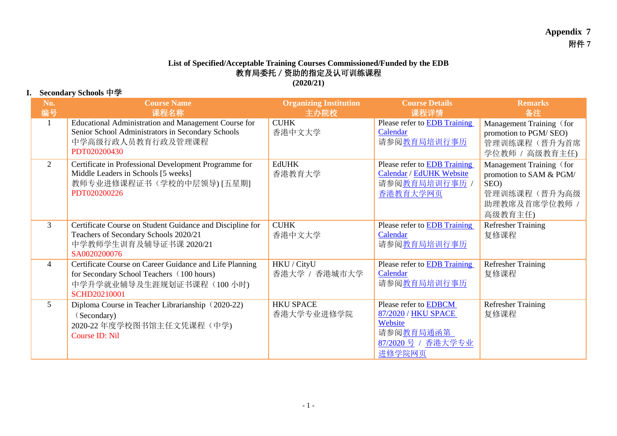## **List of Specified/Acceptable Training Courses Commissioned/Funded by the EDB** 教育局委托/资助的指定及认可训练课程 **(2020/21)**

## **I. Secondary Schools** 中学

| No.<br>编号      | <b>Course Name</b><br>课程名称                                                                                                                              | <b>Organizing Institution</b><br>主办院校 | <b>Course Details</b><br>课程详情                                                                              | <b>Remarks</b><br>备注                                                                                    |
|----------------|---------------------------------------------------------------------------------------------------------------------------------------------------------|---------------------------------------|------------------------------------------------------------------------------------------------------------|---------------------------------------------------------------------------------------------------------|
| $\overline{1}$ | Educational Administration and Management Course for<br>Senior School Administrators in Secondary Schools<br>中学高级行政人员教育行政及管理课程<br>PDT020200430          | <b>CUHK</b><br>香港中文大学                 | Please refer to <b>EDB</b> Training<br>Calendar<br>请参阅教育局培训行事历                                             | Management Training (for<br>promotion to PGM/SEO)<br>管理训练课程(晋升为首席<br>学位教师 / 高级教育主任)                     |
| 2              | Certificate in Professional Development Programme for<br>Middle Leaders in Schools [5 weeks]<br>教师专业进修课程证书(学校的中层领导)[五星期]<br>PDT020200226                | <b>EdUHK</b><br>香港教育大学                | Please refer to <b>EDB</b> Training<br>Calendar / EdUHK Website<br>请参阅教育局培训行事历<br>香港教育大学网页                 | Management Training (for<br>promotion to SAM & PGM/<br>SEO)<br>管理训练课程(晋升为高级<br>助理教席及首席学位教师 /<br>高级教育主任) |
| $\mathfrak{Z}$ | Certificate Course on Student Guidance and Discipline for<br>Teachers of Secondary Schools 2020/21<br>中学教师学生训育及辅导证书课 2020/21<br>SA0020200076            | <b>CUHK</b><br>香港中文大学                 | Please refer to <b>EDB</b> Training<br>Calendar<br>请参阅教育局培训行事历                                             | <b>Refresher Training</b><br>复修课程                                                                       |
| $\overline{4}$ | Certificate Course on Career Guidance and Life Planning<br>for Secondary School Teachers (100 hours)<br>中学升学就业辅导及生涯规划证书课程(100小时)<br><b>SCHD20210001</b> | HKU / CityU<br>香港大学 / 香港城市大学          | Please refer to <b>EDB</b> Training<br>Calendar<br>请参阅教育局培训行事历                                             | <b>Refresher Training</b><br>复修课程                                                                       |
| 5 <sup>5</sup> | Diploma Course in Teacher Librarianship (2020-22)<br>(Secondary)<br>2020-22 年度学校图书馆主任文凭课程(中学)<br>Course ID: Nil                                         | <b>HKU SPACE</b><br>香港大学专业进修学院        | Please refer to <b>EDBCM</b><br>87/2020 / HKU SPACE<br>Website<br>请参阅教育局通函第<br>87/2020号 / 香港大学专业<br>进修学院网页 | <b>Refresher Training</b><br>复修课程                                                                       |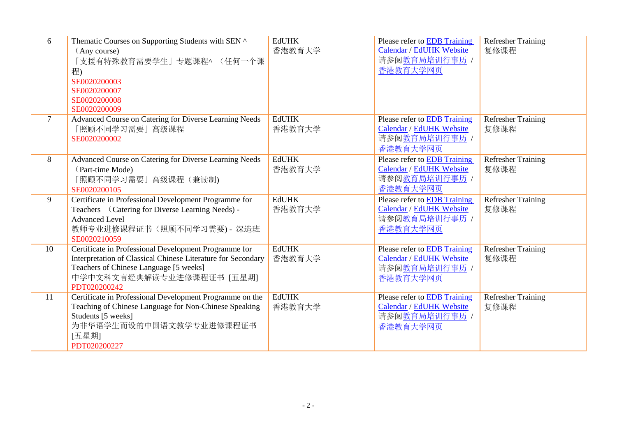| 6      | Thematic Courses on Supporting Students with SEN ^<br>(Any course)<br>「支援有特殊教育需要学生」专题课程^ (任何一个课<br>程)<br>SE0020200003<br>SE0020200007<br>SE0020200008<br>SE0020200009                                        | <b>EdUHK</b><br>香港教育大学 | Please refer to EDB Training<br>Calendar / EdUHK Website<br>请参阅教育局培训行事历 /<br>香港教育大学网页        | <b>Refresher Training</b><br>复修课程 |
|--------|--------------------------------------------------------------------------------------------------------------------------------------------------------------------------------------------------------------|------------------------|----------------------------------------------------------------------------------------------|-----------------------------------|
| $\tau$ | Advanced Course on Catering for Diverse Learning Needs<br>「照顾不同学习需要」高级课程<br>SE0020200002                                                                                                                     | <b>EdUHK</b><br>香港教育大学 | Please refer to EDB Training<br>Calendar / EdUHK Website<br>请参阅教育局培训行事历 /<br>香港教育大学网页        | <b>Refresher Training</b><br>复修课程 |
| 8      | Advanced Course on Catering for Diverse Learning Needs<br>(Part-time Mode)<br>「照顾不同学习需要」高级课程 (兼读制)<br>SE0020200105                                                                                           | <b>EdUHK</b><br>香港教育大学 | Please refer to EDB Training<br>Calendar / EdUHK Website<br>请参阅教育局培训行事历 /<br>香港教育大学网页        | <b>Refresher Training</b><br>复修课程 |
| 9      | Certificate in Professional Development Programme for<br>Teachers (Catering for Diverse Learning Needs) -<br><b>Advanced Level</b><br>教师专业进修课程证书(照顾不同学习需要) - 深造班<br>SE0020210059                             | <b>EdUHK</b><br>香港教育大学 | Please refer to EDB Training<br>Calendar / EdUHK Website<br>请参阅教育局培训行事历 /<br>香港教育大学网页        | <b>Refresher Training</b><br>复修课程 |
| 10     | Certificate in Professional Development Programme for<br>Interpretation of Classical Chinese Literature for Secondary<br>Teachers of Chinese Language [5 weeks]<br>中学中文科文言经典解读专业进修课程证书 [五星期]<br>PDT020200242 | <b>EdUHK</b><br>香港教育大学 | Please refer to <b>EDB</b> Training<br>Calendar / EdUHK Website<br>请参阅教育局培训行事历 /<br>香港教育大学网页 | <b>Refresher Training</b><br>复修课程 |
| 11     | Certificate in Professional Development Programme on the<br>Teaching of Chinese Language for Non-Chinese Speaking<br>Students [5 weeks]<br>为非华语学生而设的中国语文教学专业进修课程证书<br>[五星期]<br>PDT020200227                  | <b>EdUHK</b><br>香港教育大学 | Please refer to EDB Training<br>Calendar / EdUHK Website<br>请参阅教育局培训行事历 /<br>香港教育大学网页        | <b>Refresher Training</b><br>复修课程 |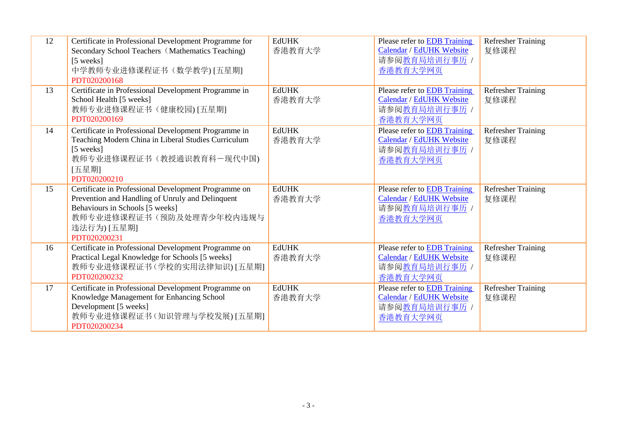| 12 | Certificate in Professional Development Programme for<br>Secondary School Teachers (Mathematics Teaching)<br>[5 weeks]<br>中学教师专业进修课程证书(数学教学)[五星期]<br>PDT020200168                                      | <b>EdUHK</b><br>香港教育大学 | Please refer to <b>EDB</b> Training<br>Calendar / EdUHK Website<br>请参阅教育局培训行事历 /<br>香港教育大学网页 | <b>Refresher Training</b><br>复修课程 |
|----|--------------------------------------------------------------------------------------------------------------------------------------------------------------------------------------------------------|------------------------|----------------------------------------------------------------------------------------------|-----------------------------------|
| 13 | Certificate in Professional Development Programme in<br>School Health [5 weeks]<br>教师专业进修课程证书(健康校园)[五星期]<br>PDT020200169                                                                               | <b>EdUHK</b><br>香港教育大学 | Please refer to <b>EDB</b> Training<br>Calendar / EdUHK Website<br>请参阅教育局培训行事历 /<br>香港教育大学网页 | <b>Refresher Training</b><br>复修课程 |
| 14 | Certificate in Professional Development Programme in<br>Teaching Modern China in Liberal Studies Curriculum<br>[5 weeks]<br>教师专业进修课程证书(教授通识教育科一现代中国)<br>[五星期]<br>PDT020200210                          | <b>EdUHK</b><br>香港教育大学 | Please refer to EDB Training<br>Calendar / EdUHK Website<br>请参阅教育局培训行事历 /<br>香港教育大学网页        | <b>Refresher Training</b><br>复修课程 |
| 15 | Certificate in Professional Development Programme on<br>Prevention and Handling of Unruly and Delinquent<br>Behaviours in Schools [5 weeks]<br>教师专业进修课程证书(预防及处理青少年校内违规与<br>违法行为) [五星期]<br>PDT020200231 | <b>EdUHK</b><br>香港教育大学 | Please refer to <b>EDB</b> Training<br>Calendar / EdUHK Website<br>请参阅教育局培训行事历 /<br>香港教育大学网页 | <b>Refresher Training</b><br>复修课程 |
| 16 | Certificate in Professional Development Programme on<br>Practical Legal Knowledge for Schools [5 weeks]<br>教师专业进修课程证书(学校的实用法律知识)[五星期]<br>PDT020200232                                                  | <b>EdUHK</b><br>香港教育大学 | Please refer to <b>EDB</b> Training<br>Calendar / EdUHK Website<br>请参阅教育局培训行事历 /<br>香港教育大学网页 | <b>Refresher Training</b><br>复修课程 |
| 17 | Certificate in Professional Development Programme on<br>Knowledge Management for Enhancing School<br>Development [5 weeks]<br>教师专业进修课程证书(知识管理与学校发展)[五星期]<br>PDT020200234                               | <b>EdUHK</b><br>香港教育大学 | Please refer to EDB Training<br>Calendar / EdUHK Website<br>请参阅教育局培训行事历 /<br>香港教育大学网页        | Refresher Training<br>复修课程        |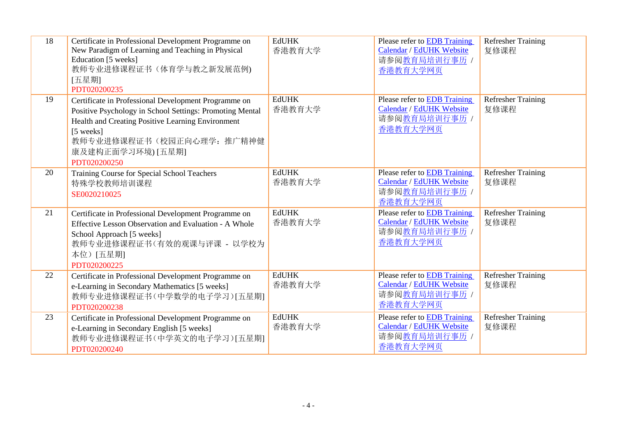| 18 | Certificate in Professional Development Programme on<br>New Paradigm of Learning and Teaching in Physical<br>Education [5 weeks]<br>教师专业进修课程证书(体育学与教之新发展范例)<br>[五星期]<br>PDT020200235                                                                 | <b>EdUHK</b><br>香港教育大学 | Please refer to EDB Training<br><b>Calendar / EdUHK Website</b><br>请参阅教育局培训行事历 /<br>香港教育大学网页        | <b>Refresher Training</b><br>复修课程 |
|----|------------------------------------------------------------------------------------------------------------------------------------------------------------------------------------------------------------------------------------------------------|------------------------|-----------------------------------------------------------------------------------------------------|-----------------------------------|
| 19 | Certificate in Professional Development Programme on<br>Positive Psychology in School Settings: Promoting Mental<br>Health and Creating Positive Learning Environment<br>[5 weeks]<br>教师专业进修课程证书(校园正向心理学: 推广精神健<br>康及建构正面学习环境) [五星期]<br>PDT020200250 | <b>EdUHK</b><br>香港教育大学 | Please refer to <b>EDB</b> Training<br><b>Calendar / EdUHK Website</b><br>请参阅教育局培训行事历 /<br>香港教育大学网页 | <b>Refresher Training</b><br>复修课程 |
| 20 | Training Course for Special School Teachers<br>特殊学校教师培训课程<br>SE0020210025                                                                                                                                                                            | <b>EdUHK</b><br>香港教育大学 | Please refer to EDB Training<br>Calendar / EdUHK Website<br>请参阅教育局培训行事历 /<br>香港教育大学网页               | <b>Refresher Training</b><br>复修课程 |
| 21 | Certificate in Professional Development Programme on<br>Effective Lesson Observation and Evaluation - A Whole<br>School Approach [5 weeks]<br>教师专业进修课程证书(有效的观课与评课 - 以学校为<br>本位)[五星期]<br>PDT020200225                                                 | <b>EdUHK</b><br>香港教育大学 | Please refer to EDB Training<br>Calendar / EdUHK Website<br>请参阅教育局培训行事历 /<br>香港教育大学网页               | <b>Refresher Training</b><br>复修课程 |
| 22 | Certificate in Professional Development Programme on<br>e-Learning in Secondary Mathematics [5 weeks]<br>教师专业进修课程证书(中学数学的电子学习)[五星期]<br>PDT020200238                                                                                                  | <b>EdUHK</b><br>香港教育大学 | Please refer to EDB Training<br><b>Calendar / EdUHK Website</b><br>请参阅教育局培训行事历 /<br>香港教育大学网页        | <b>Refresher Training</b><br>复修课程 |
| 23 | Certificate in Professional Development Programme on<br>e-Learning in Secondary English [5 weeks]<br>教师专业进修课程证书(中学英文的电子学习)[五星期]<br>PDT020200240                                                                                                      | <b>EdUHK</b><br>香港教育大学 | Please refer to EDB Training<br>Calendar / EdUHK Website<br>请参阅教育局培训行事历 /<br>香港教育大学网页               | <b>Refresher Training</b><br>复修课程 |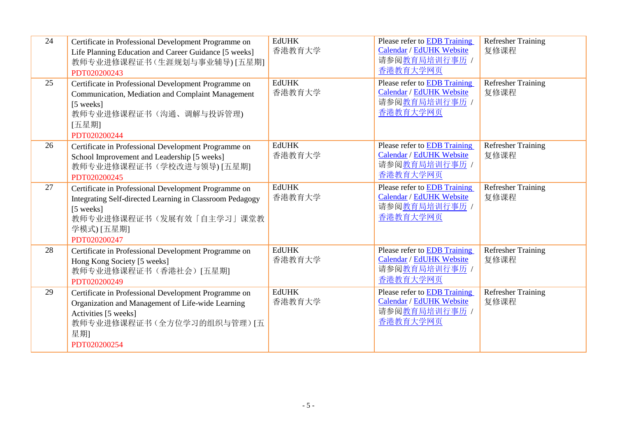| 24 | Certificate in Professional Development Programme on<br>Life Planning Education and Career Guidance [5 weeks]<br>教师专业进修课程证书(生涯规划与事业辅导)[五星期]<br>PDT020200243                             | <b>EdUHK</b><br>香港教育大学 | Please refer to EDB Training<br>Calendar / EdUHK Website<br>请参阅教育局培训行事历 /<br>香港教育大学网页        | <b>Refresher Training</b><br>复修课程 |
|----|-----------------------------------------------------------------------------------------------------------------------------------------------------------------------------------------|------------------------|----------------------------------------------------------------------------------------------|-----------------------------------|
| 25 | Certificate in Professional Development Programme on<br>Communication, Mediation and Complaint Management<br>[5 weeks]<br>教师专业进修课程证书(沟通、调解与投诉管理)<br>[五星期]<br>PDT020200244               | <b>EdUHK</b><br>香港教育大学 | Please refer to <b>EDB</b> Training<br>Calendar / EdUHK Website<br>请参阅教育局培训行事历 /<br>香港教育大学网页 | <b>Refresher Training</b><br>复修课程 |
| 26 | Certificate in Professional Development Programme on<br>School Improvement and Leadership [5 weeks]<br>教师专业进修课程证书(学校改进与领导)[五星期]<br>PDT020200245                                         | <b>EdUHK</b><br>香港教育大学 | Please refer to <b>EDB</b> Training<br>Calendar / EdUHK Website<br>请参阅教育局培训行事历 /<br>香港教育大学网页 | <b>Refresher Training</b><br>复修课程 |
| 27 | Certificate in Professional Development Programme on<br>Integrating Self-directed Learning in Classroom Pedagogy<br>[5 weeks]<br>教师专业进修课程证书(发展有效「自主学习」课堂教<br>学模式) [五星期]<br>PDT020200247 | <b>EdUHK</b><br>香港教育大学 | Please refer to EDB Training<br>Calendar / EdUHK Website<br>请参阅教育局培训行事历 /<br>香港教育大学网页        | Refresher Training<br>复修课程        |
| 28 | Certificate in Professional Development Programme on<br>Hong Kong Society [5 weeks]<br>教师专业进修课程证书(香港社会)[五星期]<br>PDT020200249                                                            | <b>EdUHK</b><br>香港教育大学 | Please refer to EDB Training<br>Calendar / EdUHK Website<br>请参阅教育局培训行事历 /<br>香港教育大学网页        | <b>Refresher Training</b><br>复修课程 |
| 29 | Certificate in Professional Development Programme on<br>Organization and Management of Life-wide Learning<br>Activities [5 weeks]<br>教师专业进修课程证书(全方位学习的组织与管理)[五<br>星期]<br>PDT020200254   | <b>EdUHK</b><br>香港教育大学 | Please refer to EDB Training<br>Calendar / EdUHK Website<br>请参阅教育局培训行事历 /<br>香港教育大学网页        | Refresher Training<br>复修课程        |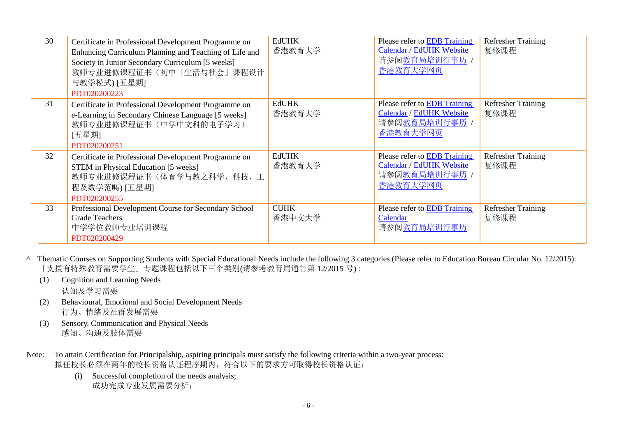| 30 | Certificate in Professional Development Programme on<br>Enhancing Curriculum Planning and Teaching of Life and<br>Society in Junior Secondary Curriculum [5 weeks]<br>教师专业进修课程证书(初中「生活与社会」课程设计<br>与教学模式) [五星期]<br>PDT020200223 | <b>EdUHK</b><br>香港教育大学 | Please refer to EDB Training<br>Calendar / EdUHK Website<br>请参阅教育局培训行事历 /<br>香港教育大学网页 | <b>Refresher Training</b><br>复修课程 |
|----|--------------------------------------------------------------------------------------------------------------------------------------------------------------------------------------------------------------------------------|------------------------|---------------------------------------------------------------------------------------|-----------------------------------|
| 31 | Certificate in Professional Development Programme on<br>e-Learning in Secondary Chinese Language [5 weeks]<br>教师专业进修课程证书(中学中文科的电子学习)<br>[五星期]<br>PDT020200251                                                                  | <b>EdUHK</b><br>香港教育大学 | Please refer to EDB Training<br>Calendar / EdUHK Website<br>请参阅教育局培训行事历 /<br>香港教育大学网页 | <b>Refresher Training</b><br>复修课程 |
| 32 | Certificate in Professional Development Programme on<br>STEM in Physical Education [5 weeks]<br>教师专业进修课程证书(体育学与教之科学、科技、工<br>程及数学范畴) [五星期]<br>PDT020200255                                                                      | <b>EdUHK</b><br>香港教育大学 | Please refer to EDB Training<br>Calendar / EdUHK Website<br>请参阅教育局培训行事历 /<br>香港教育大学网页 | <b>Refresher Training</b><br>复修课程 |
| 33 | Professional Development Course for Secondary School<br><b>Grade Teachers</b><br>中学学位教师专业培训课程<br>PDT020200429                                                                                                                  | <b>CUHK</b><br>香港中文大学  | Please refer to EDB Training<br>Calendar<br>请参阅教育局培训行事历                               | <b>Refresher Training</b><br>复修课程 |

- ^ Thematic Courses on Supporting Students with Special Educational Needs include the following 3 categories (Please refer to Education Bureau Circular No. 12/2015): 「支援有特殊教育需要学生」专题课程包括以下三个类别(请参考教育局通告第 12/2015 号) :
	- (1) Cognition and Learning Needs

认知及学习需要

- (2) Behavioural, Emotional and Social Development Needs 行为、情绪及社群发展需要
- (3) Sensory, Communication and Physical Needs 感知、沟通及肢体需要
- Note: To attain Certification for Principalship, aspiring principals must satisfy the following criteria within a two-year process: 拟任校长必须在两年的校长资格认证程序期内,符合以下的要求方可取得校长资格认证:
	- (i) Successful completion of the needs analysis; 成功完成专业发展需要分析;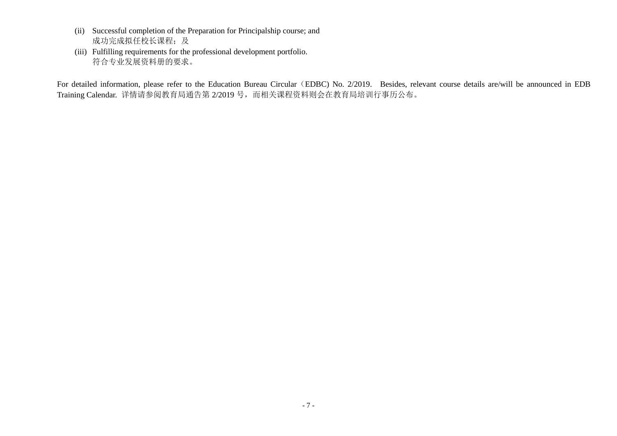- (ii) Successful completion of the Preparation for Principalship course; and 成功完成拟任校长课程;及
- (iii) Fulfilling requirements for the professional development portfolio. 符合专业发展资料册的要求。

For detailed information, please refer to the Education Bureau Circular (EDBC) No. 2/2019. Besides, relevant course details are/will be announced in EDB Training Calendar. 详情请参阅教育局通告第 2/2019 号, 而相关课程资料则会在教育局培训行事历公布。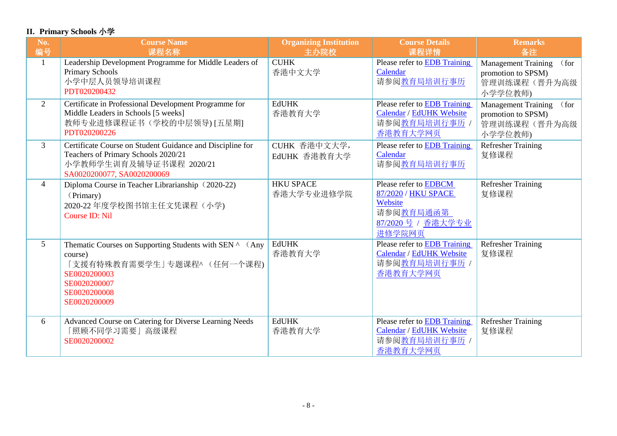## **II. Primary Schools** 小学

| No.<br>编号       | <b>Course Name</b><br>课程名称                                                                                                                                        | <b>Organizing Institution</b><br>主办院校 | <b>Course Details</b><br>课程详情                                                                                | <b>Remarks</b><br>备注                                                                |
|-----------------|-------------------------------------------------------------------------------------------------------------------------------------------------------------------|---------------------------------------|--------------------------------------------------------------------------------------------------------------|-------------------------------------------------------------------------------------|
| $\mathbf{1}$    | Leadership Development Programme for Middle Leaders of<br><b>Primary Schools</b><br>小学中层人员领导培训课程<br>PDT020200432                                                  | <b>CUHK</b><br>香港中文大学                 | Please refer to <b>EDB</b> Training<br>Calendar<br>请参阅教育局培训行事历                                               | <b>Management Training</b><br>(for<br>promotion to SPSM)<br>管理训练课程(晋升为高级<br>小学学位教师) |
| $\overline{2}$  | Certificate in Professional Development Programme for<br>Middle Leaders in Schools [5 weeks]<br>教师专业进修课程证书(学校的中层领导) [五星期]<br>PDT020200226                         | <b>EdUHK</b><br>香港教育大学                | <b>Please refer to EDB Training</b><br>Calendar / EdUHK Website<br>请参阅 <u>教育局培训行事历</u> /<br>香港教育大学网页         | <b>Management Training</b><br>(for<br>promotion to SPSM)<br>管理训练课程(晋升为高级<br>小学学位教师) |
| $\overline{3}$  | Certificate Course on Student Guidance and Discipline for<br>Teachers of Primary Schools 2020/21<br>小学教师学生训育及辅导证书课程 2020/21<br>SA0020200077, SA0020200069         | CUHK 香港中文大学,<br>EdUHK 香港教育大学          | Please refer to EDB Training<br>Calendar<br>请参阅教育局培训行事历                                                      | Refresher Training<br>复修课程                                                          |
| 4               | Diploma Course in Teacher Librarianship (2020-22)<br>(Primary)<br>2020-22 年度学校图书馆主任文凭课程(小学)<br>Course ID: Nil                                                     | <b>HKU SPACE</b><br>香港大学专业进修学院        | Please refer to EDBCM<br>87/2020 / HKU SPACE<br>Website<br>请参阅 <u>教育局通函第</u><br>87/2020 号 / 香港大学专业<br>进修学院网页 | <b>Refresher Training</b><br>复修课程                                                   |
| $5\overline{)}$ | Thematic Courses on Supporting Students with SEN ^ (Any<br>course)<br>「支援有特殊教育需要学生」专题课程^ (任何一个课程)<br>SE0020200003<br>SE0020200007<br>SE0020200008<br>SE0020200009 | <b>EdUHK</b><br>香港教育大学                | Please refer to EDB Training<br>Calendar / EdUHK Website<br>请参阅教育局培训行事历 /<br>香港教育大学网页                        | <b>Refresher Training</b><br>复修课程                                                   |
| 6               | Advanced Course on Catering for Diverse Learning Needs<br>「照顾不同学习需要」高级课程<br>SE0020200002                                                                          | <b>EdUHK</b><br>香港教育大学                | Please refer to <b>EDB</b> Training<br>Calendar / EdUHK Website<br>请参阅教育局培训行事历 /<br>香港教育大学网页                 | <b>Refresher Training</b><br>复修课程                                                   |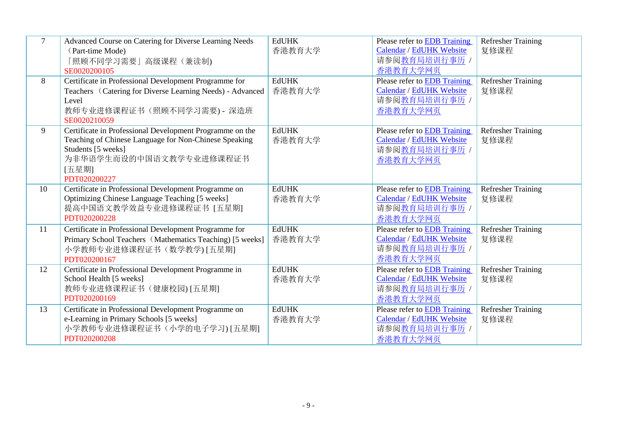| $\overline{7}$ | Advanced Course on Catering for Diverse Learning Needs<br>(Part-time Mode)<br>「照顾不同学习需要」高级课程(兼读制)<br>SE0020200105                                                                           | <b>EdUHK</b><br>香港教育大学 | Please refer to EDB Training<br>Calendar / EdUHK Website<br>请参阅教育局培训行事历 /<br>香港教育大学网页 | <b>Refresher Training</b><br>复修课程 |
|----------------|---------------------------------------------------------------------------------------------------------------------------------------------------------------------------------------------|------------------------|---------------------------------------------------------------------------------------|-----------------------------------|
| 8              | Certificate in Professional Development Programme for<br>Teachers (Catering for Diverse Learning Needs) - Advanced<br>Level<br>教师专业进修课程证书(照顾不同学习需要)- 深造班<br>SE0020210059                    | <b>EdUHK</b><br>香港教育大学 | Please refer to EDB Training<br>Calendar / EdUHK Website<br>请参阅教育局培训行事历 /<br>香港教育大学网页 | <b>Refresher Training</b><br>复修课程 |
| 9              | Certificate in Professional Development Programme on the<br>Teaching of Chinese Language for Non-Chinese Speaking<br>Students [5 weeks]<br>为非华语学生而设的中国语文教学专业进修课程证书<br>[五星期]<br>PDT020200227 | <b>EdUHK</b><br>香港教育大学 | Please refer to EDB Training<br>Calendar / EdUHK Website<br>请参阅教育局培训行事历 /<br>香港教育大学网页 | <b>Refresher Training</b><br>复修课程 |
| 10             | Certificate in Professional Development Programme on<br>Optimizing Chinese Language Teaching [5 weeks]<br>提高中国语文教学效益专业进修课程证书 [五星期]<br>PDT020200228                                          | <b>EdUHK</b><br>香港教育大学 | Please refer to EDB Training<br>Calendar / EdUHK Website<br>请参阅教育局培训行事历 /<br>香港教育大学网页 | <b>Refresher Training</b><br>复修课程 |
| 11             | Certificate in Professional Development Programme for<br>Primary School Teachers (Mathematics Teaching) [5 weeks]<br>小学教师专业进修课程证书(数学教学)[五星期]<br>PDT020200167                                | <b>EdUHK</b><br>香港教育大学 | Please refer to EDB Training<br>Calendar / EdUHK Website<br>请参阅教育局培训行事历 /<br>香港教育大学网页 | <b>Refresher Training</b><br>复修课程 |
| 12             | Certificate in Professional Development Programme in<br>School Health [5 weeks]<br>教师专业进修课程证书(健康校园)[五星期]<br>PDT020200169                                                                    | <b>EdUHK</b><br>香港教育大学 | Please refer to EDB Training<br>Calendar / EdUHK Website<br>请参阅教育局培训行事历 /<br>香港教育大学网页 | <b>Refresher Training</b><br>复修课程 |
| 13             | Certificate in Professional Development Programme on<br>e-Learning in Primary Schools [5 weeks]<br>小学教师专业进修课程证书(小学的电子学习)[五星期]<br>PDT020200208                                               | <b>EdUHK</b><br>香港教育大学 | Please refer to EDB Training<br>Calendar / EdUHK Website<br>请参阅教育局培训行事历 /<br>香港教育大学网页 | <b>Refresher Training</b><br>复修课程 |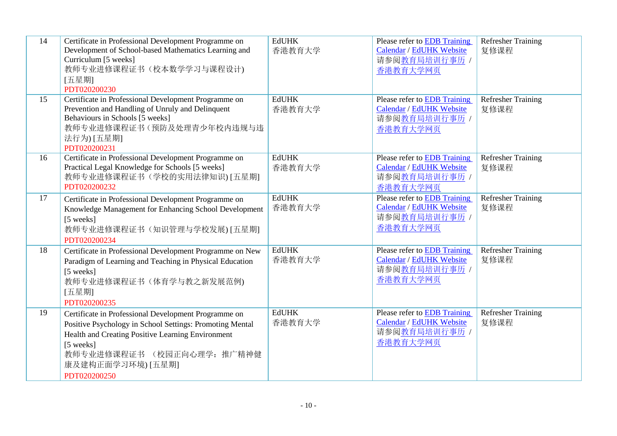| 14 | Certificate in Professional Development Programme on<br>Development of School-based Mathematics Learning and<br>Curriculum [5 weeks]<br>教师专业进修课程证书(校本数学学习与课程设计)<br>[五星期]<br>PDT020200230                                                              | <b>EdUHK</b><br>香港教育大学 | Please refer to EDB Training<br>Calendar / EdUHK Website<br>请参阅教育局培训行事历 /<br>香港教育大学网页               | <b>Refresher Training</b><br>复修课程 |
|----|-------------------------------------------------------------------------------------------------------------------------------------------------------------------------------------------------------------------------------------------------------|------------------------|-----------------------------------------------------------------------------------------------------|-----------------------------------|
| 15 | Certificate in Professional Development Programme on<br>Prevention and Handling of Unruly and Delinquent<br>Behaviours in Schools [5 weeks]<br>教师专业进修课程证书(预防及处理青少年校内违规与违<br>法行为) [五星期]<br>PDT020200231                                                | <b>EdUHK</b><br>香港教育大学 | Please refer to <b>EDB</b> Training<br><b>Calendar / EdUHK Website</b><br>请参阅教育局培训行事历 /<br>香港教育大学网页 | <b>Refresher Training</b><br>复修课程 |
| 16 | Certificate in Professional Development Programme on<br>Practical Legal Knowledge for Schools [5 weeks]<br>教师专业进修课程证书(学校的实用法律知识)[五星期]<br>PDT020200232                                                                                                 | <b>EdUHK</b><br>香港教育大学 | Please refer to EDB Training<br>Calendar / EdUHK Website<br>请参阅教育局培训行事历 /<br>香港教育大学网页               | <b>Refresher Training</b><br>复修课程 |
| 17 | Certificate in Professional Development Programme on<br>Knowledge Management for Enhancing School Development<br>[5 weeks]<br>教师专业进修课程证书(知识管理与学校发展)[五星期]<br>PDT020200234                                                                              | <b>EdUHK</b><br>香港教育大学 | Please refer to <b>EDB</b> Training<br>Calendar / EdUHK Website<br>请参阅教育局培训行事历 /<br>香港教育大学网页        | <b>Refresher Training</b><br>复修课程 |
| 18 | Certificate in Professional Development Programme on New<br>Paradigm of Learning and Teaching in Physical Education<br>[5 weeks]<br>教师专业进修课程证书(体育学与教之新发展范例)<br>[五星期]<br>PDT020200235                                                                  | <b>EdUHK</b><br>香港教育大学 | Please refer to EDB Training<br>Calendar / EdUHK Website<br>请参阅教育局培训行事历 /<br>香港教育大学网页               | <b>Refresher Training</b><br>复修课程 |
| 19 | Certificate in Professional Development Programme on<br>Positive Psychology in School Settings: Promoting Mental<br>Health and Creating Positive Learning Environment<br>[5 weeks]<br>教师专业进修课程证书 (校园正向心理学: 推广精神健<br>康及建构正面学习环境) [五星期]<br>PDT020200250 | <b>EdUHK</b><br>香港教育大学 | Please refer to EDB Training<br>Calendar / EdUHK Website<br>请参阅教育局培训行事历 /<br>香港教育大学网页               | <b>Refresher Training</b><br>复修课程 |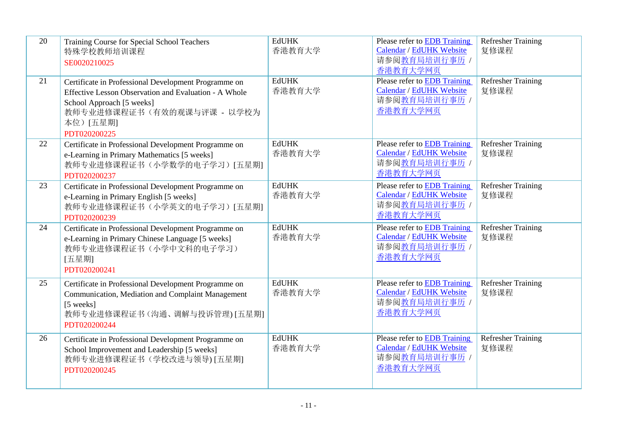| 20 | Training Course for Special School Teachers<br>特殊学校教师培训课程<br>SE0020210025                                                                                                                            | <b>EdUHK</b><br>香港教育大学 | Please refer to EDB Training<br>Calendar / EdUHK Website<br>请参阅教育局培训行事历 /<br>香港教育大学网页        | <b>Refresher Training</b><br>复修课程 |
|----|------------------------------------------------------------------------------------------------------------------------------------------------------------------------------------------------------|------------------------|----------------------------------------------------------------------------------------------|-----------------------------------|
| 21 | Certificate in Professional Development Programme on<br>Effective Lesson Observation and Evaluation - A Whole<br>School Approach [5 weeks]<br>教师专业进修课程证书(有效的观课与评课 - 以学校为<br>本位)[五星期]<br>PDT020200225 | <b>EdUHK</b><br>香港教育大学 | Please refer to EDB Training<br>Calendar / EdUHK Website<br>请参阅教育局培训行事历 /<br>香港教育大学网页        | <b>Refresher Training</b><br>复修课程 |
| 22 | Certificate in Professional Development Programme on<br>e-Learning in Primary Mathematics [5 weeks]<br>教师专业进修课程证书(小学数学的电子学习)[五星期]<br>PDT020200237                                                    | <b>EdUHK</b><br>香港教育大学 | Please refer to EDB Training<br>Calendar / EdUHK Website<br>请参阅教育局培训行事历 /<br>香港教育大学网页        | <b>Refresher Training</b><br>复修课程 |
| 23 | Certificate in Professional Development Programme on<br>e-Learning in Primary English [5 weeks]<br>教师专业进修课程证书(小学英文的电子学习)[五星期]<br>PDT020200239                                                        | <b>EdUHK</b><br>香港教育大学 | Please refer to EDB Training<br>Calendar / EdUHK Website<br>请参阅教育局培训行事历 /<br>香港教育大学网页        | <b>Refresher Training</b><br>复修课程 |
| 24 | Certificate in Professional Development Programme on<br>e-Learning in Primary Chinese Language [5 weeks]<br>教师专业进修课程证书(小学中文科的电子学习)<br>[五星期]<br>PDT020200241                                          | <b>EdUHK</b><br>香港教育大学 | Please refer to EDB Training<br>Calendar / EdUHK Website<br>请参阅教育局培训行事历 /<br>香港教育大学网页        | <b>Refresher Training</b><br>复修课程 |
| 25 | Certificate in Professional Development Programme on<br>Communication, Mediation and Complaint Management<br>[5 weeks]<br>教师专业进修课程证书(沟通、调解与投诉管理)[五星期]<br>PDT020200244                                | <b>EdUHK</b><br>香港教育大学 | Please refer to EDB Training<br>Calendar / EdUHK Website<br>请参阅教育局培训行事历 /<br>香港教育大学网页        | <b>Refresher Training</b><br>复修课程 |
| 26 | Certificate in Professional Development Programme on<br>School Improvement and Leadership [5 weeks]<br>教师专业进修课程证书(学校改进与领导)[五星期]<br>PDT020200245                                                      | <b>EdUHK</b><br>香港教育大学 | Please refer to <b>EDB</b> Training<br>Calendar / EdUHK Website<br>请参阅教育局培训行事历 /<br>香港教育大学网页 | <b>Refresher Training</b><br>复修课程 |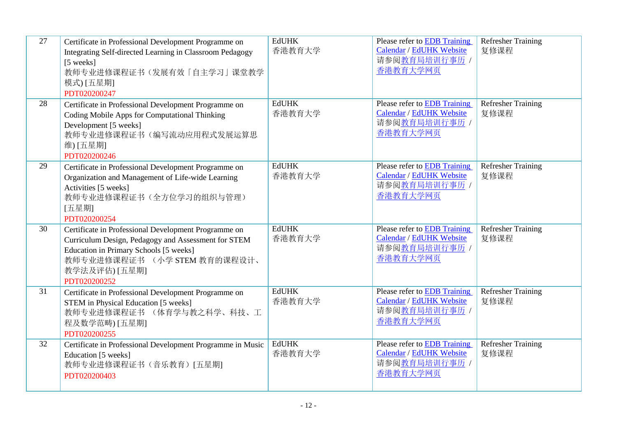| 27 | Certificate in Professional Development Programme on<br>Integrating Self-directed Learning in Classroom Pedagogy<br>[5 weeks]<br>教师专业进修课程证书(发展有效「自主学习」课堂教学<br>模式) [五星期]<br>PDT020200247                                | <b>EdUHK</b><br>香港教育大学 | Please refer to EDB Training<br>Calendar / EdUHK Website<br>请参阅教育局培训行事历 /<br>香港教育大学网页        | <b>Refresher Training</b><br>复修课程 |
|----|------------------------------------------------------------------------------------------------------------------------------------------------------------------------------------------------------------------------|------------------------|----------------------------------------------------------------------------------------------|-----------------------------------|
| 28 | Certificate in Professional Development Programme on<br>Coding Mobile Apps for Computational Thinking<br>Development [5 weeks]<br>教师专业进修课程证书(编写流动应用程式发展运算思<br>维) [五星期]<br>PDT020200246                                 | <b>EdUHK</b><br>香港教育大学 | Please refer to EDB Training<br>Calendar / EdUHK Website<br>请参阅教育局培训行事历 /<br>香港教育大学网页        | <b>Refresher Training</b><br>复修课程 |
| 29 | Certificate in Professional Development Programme on<br>Organization and Management of Life-wide Learning<br>Activities [5 weeks]<br>教师专业进修课程证书(全方位学习的组织与管理)<br>[五星期]<br>PDT020200254                                  | <b>EdUHK</b><br>香港教育大学 | Please refer to EDB Training<br>Calendar / EdUHK Website<br>请参阅教育局培训行事历 /<br>香港教育大学网页        | Refresher Training<br>复修课程        |
| 30 | Certificate in Professional Development Programme on<br>Curriculum Design, Pedagogy and Assessment for STEM<br>Education in Primary Schools [5 weeks]<br>教师专业进修课程证书 (小学 STEM 教育的课程设计、<br>教学法及评估) [五星期]<br>PDT020200252 | <b>EdUHK</b><br>香港教育大学 | Please refer to <b>EDB</b> Training<br>Calendar / EdUHK Website<br>请参阅教育局培训行事历 /<br>香港教育大学网页 | <b>Refresher Training</b><br>复修课程 |
| 31 | Certificate in Professional Development Programme on<br>STEM in Physical Education [5 weeks]<br>教师专业进修课程证书 (体育学与教之科学、科技、工<br>程及数学范畴) [五星期]<br>PDT020200255                                                             | <b>EdUHK</b><br>香港教育大学 | Please refer to EDB Training<br>Calendar / EdUHK Website<br>请参阅教育局培训行事历 /<br>香港教育大学网页        | <b>Refresher Training</b><br>复修课程 |
| 32 | Certificate in Professional Development Programme in Music<br>Education [5 weeks]<br>教师专业进修课程证书(音乐教育)[五星期]<br>PDT020200403                                                                                             | <b>EdUHK</b><br>香港教育大学 | <b>Please refer to EDB Training</b><br>Calendar / EdUHK Website<br>请参阅教育局培训行事历 /<br>香港教育大学网页 | <b>Refresher Training</b><br>复修课程 |